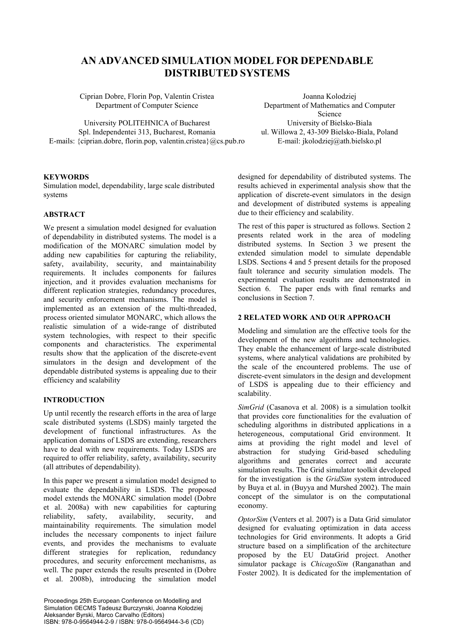# **AN ADVANCED SIMULATION MODEL FOR DEPENDABLE DISTRIBUTED SYSTEMS**

Ciprian Dobre, Florin Pop, Valentin Cristea Joanna Kolodziej

University POLITEHNICA of Bucharest University of Bielsko-Biala Spl. Independentei 313, Bucharest, Romania ul. Willowa 2, 43-309 Bielsko-Biala, Poland E-mails: {ciprian.dobre, florin.pop, valentin.cristea}@cs.pub.ro E-mail: jkolodziej@ath.bielsko.pl

Department of Computer Science Department of Mathematics and Computer Science

# **KEYWORDS**

Simulation model, dependability, large scale distributed systems

### **ABSTRACT**

We present a simulation model designed for evaluation of dependability in distributed systems. The model is a modification of the MONARC simulation model by adding new capabilities for capturing the reliability, safety, availability, security, and maintainability requirements. It includes components for failures injection, and it provides evaluation mechanisms for different replication strategies, redundancy procedures, and security enforcement mechanisms. The model is implemented as an extension of the multi-threaded, process oriented simulator MONARC, which allows the realistic simulation of a wide-range of distributed system technologies, with respect to their specific components and characteristics. The experimental results show that the application of the discrete-event simulators in the design and development of the dependable distributed systems is appealing due to their efficiency and scalability

## **INTRODUCTION**

Up until recently the research efforts in the area of large scale distributed systems (LSDS) mainly targeted the development of functional infrastructures. As the application domains of LSDS are extending, researchers have to deal with new requirements. Today LSDS are required to offer reliability, safety, availability, security (all attributes of dependability).

In this paper we present a simulation model designed to evaluate the dependability in LSDS. The proposed model extends the MONARC simulation model (Dobre et al. 2008a) with new capabilities for capturing reliability, safety, availability, security, and maintainability requirements. The simulation model includes the necessary components to inject failure events, and provides the mechanisms to evaluate different strategies for replication, redundancy procedures, and security enforcement mechanisms, as well. The paper extends the results presented in (Dobre et al. 2008b), introducing the simulation model

Proceedings 25th European Conference on Modelling and Simulation ©ECMS Tadeusz Burczynski, Joanna Kolodziej Aleksander Byrski, Marco Carvalho (Editors) ISBN: 978-0-9564944-2-9 / ISBN: 978-0-9564944-3-6 (CD) designed for dependability of distributed systems. The results achieved in experimental analysis show that the application of discrete-event simulators in the design and development of distributed systems is appealing due to their efficiency and scalability.

The rest of this paper is structured as follows. Section 2 presents related work in the area of modeling distributed systems. In Section 3 we present the extended simulation model to simulate dependable LSDS. Sections 4 and 5 present details for the proposed fault tolerance and security simulation models. The experimental evaluation results are demonstrated in Section 6. The paper ends with final remarks and conclusions in Section 7.

# **2 RELATED WORK AND OUR APPROACH**

Modeling and simulation are the effective tools for the development of the new algorithms and technologies. They enable the enhancement of large-scale distributed systems, where analytical validations are prohibited by the scale of the encountered problems. The use of discrete-event simulators in the design and development of LSDS is appealing due to their efficiency and scalability.

*SimGrid* (Casanova et al. 2008) is a simulation toolkit that provides core functionalities for the evaluation of scheduling algorithms in distributed applications in a heterogeneous, computational Grid environment. It aims at providing the right model and level of abstraction for studying Grid-based scheduling algorithms and generates correct and accurate simulation results. The Grid simulator toolkit developed for the investigation is the *GridSim* system introduced by Buya et al. in (Buyya and Murshed 2002). The main concept of the simulator is on the computational economy.

*OptorSim* (Venters et al. 2007) is a Data Grid simulator designed for evaluating optimization in data access technologies for Grid environments. It adopts a Grid structure based on a simplification of the architecture proposed by the EU DataGrid project. Another simulator package is *ChicagoSim* (Ranganathan and Foster 2002). It is dedicated for the implementation of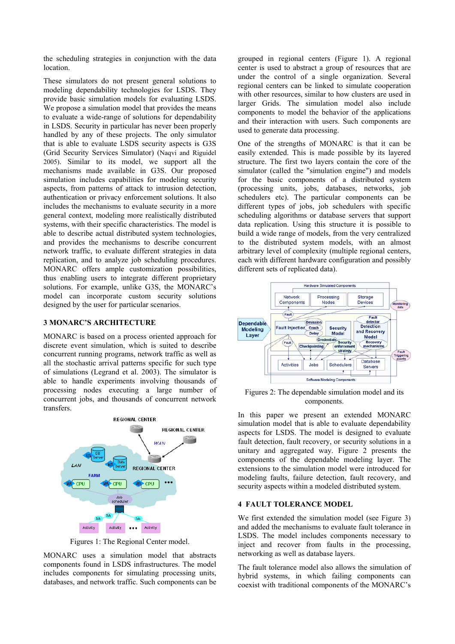the scheduling strategies in conjunction with the data location.

These simulators do not present general solutions to modeling dependability technologies for LSDS. They provide basic simulation models for evaluating LSDS. We propose a simulation model that provides the means to evaluate a wide-range of solutions for dependability in LSDS. Security in particular has never been properly handled by any of these projects. The only simulator that is able to evaluate LSDS security aspects is G3S (Grid Security Services Simulator) (Naqvi and Riguidel 2005). Similar to its model, we support all the mechanisms made available in G3S. Our proposed simulation includes capabilities for modeling security aspects, from patterns of attack to intrusion detection, authentication or privacy enforcement solutions. It also includes the mechanisms to evaluate security in a more general context, modeling more realistically distributed systems, with their specific characteristics. The model is able to describe actual distributed system technologies, and provides the mechanisms to describe concurrent network traffic, to evaluate different strategies in data replication, and to analyze job scheduling procedures. MONARC offers ample customization possibilities, thus enabling users to integrate different proprietary solutions. For example, unlike G3S, the MONARC's model can incorporate custom security solutions designed by the user for particular scenarios.

# **3 MONARC'S ARCHITECTURE**

MONARC is based on a process oriented approach for discrete event simulation, which is suited to describe concurrent running programs, network traffic as well as all the stochastic arrival patterns specific for such type of simulations (Legrand et al. 2003). The simulator is able to handle experiments involving thousands of processing nodes executing a large number of concurrent jobs, and thousands of concurrent network transfers.



Figures 1: The Regional Center model.

MONARC uses a simulation model that abstracts components found in LSDS infrastructures. The model includes components for simulating processing units, databases, and network traffic. Such components can be

grouped in regional centers (Figure 1). A regional center is used to abstract a group of resources that are under the control of a single organization. Several regional centers can be linked to simulate cooperation with other resources, similar to how clusters are used in larger Grids. The simulation model also include components to model the behavior of the applications and their interaction with users. Such components are used to generate data processing.

One of the strengths of MONARC is that it can be easily extended. This is made possible by its layered structure. The first two layers contain the core of the simulator (called the "simulation engine") and models for the basic components of a distributed system (processing units, jobs, databases, networks, job schedulers etc). The particular components can be different types of jobs, job schedulers with specific scheduling algorithms or database servers that support data replication. Using this structure it is possible to build a wide range of models, from the very centralized to the distributed system models, with an almost arbitrary level of complexity (multiple regional centers, each with different hardware configuration and possibly different sets of replicated data).



Figures 2: The dependable simulation model and its components.

In this paper we present an extended MONARC simulation model that is able to evaluate dependability aspects for LSDS. The model is designed to evaluate fault detection, fault recovery, or security solutions in a unitary and aggregated way. Figure 2 presents the components of the dependable modeling layer. The extensions to the simulation model were introduced for modeling faults, failure detection, fault recovery, and security aspects within a modeled distributed system.

#### **4 FAULT TOLERANCE MODEL**

We first extended the simulation model (see Figure 3) and added the mechanisms to evaluate fault tolerance in LSDS. The model includes components necessary to inject and recover from faults in the processing, networking as well as database layers.

The fault tolerance model also allows the simulation of hybrid systems, in which failing components can coexist with traditional components of the MONARC's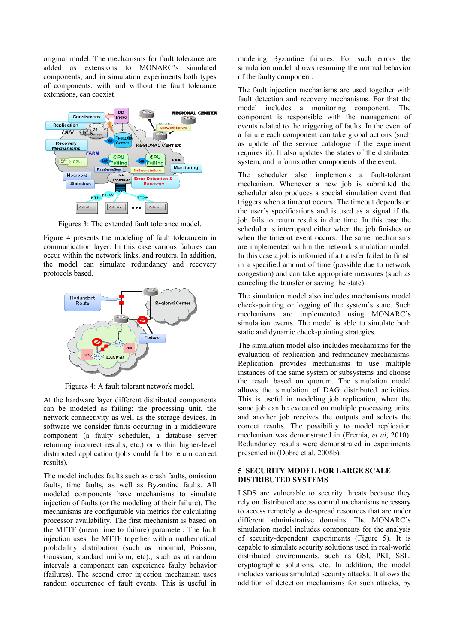original model. The mechanisms for fault tolerance are added as extensions to MONARC's simulated components, and in simulation experiments both types of components, with and without the fault tolerance extensions, can coexist.



Figures 3: The extended fault tolerance model.

Figure 4 presents the modeling of fault tolerancein in communication layer. In this case various failures can occur within the network links, and routers. In addition, the model can simulate redundancy and recovery protocols based.



Figures 4: A fault tolerant network model.

At the hardware layer different distributed components can be modeled as failing: the processing unit, the network connectivity as well as the storage devices. In software we consider faults occurring in a middleware component (a faulty scheduler, a database server returning incorrect results, etc.) or within higher-level distributed application (jobs could fail to return correct results).

The model includes faults such as crash faults, omission faults, time faults, as well as Byzantine faults. All modeled components have mechanisms to simulate injection of faults (or the modeling of their failure). The mechanisms are configurable via metrics for calculating processor availability. The first mechanism is based on the MTTF (mean time to failure) parameter. The fault injection uses the MTTF together with a mathematical probability distribution (such as binomial, Poisson, Gaussian, standard uniform, etc)., such as at random intervals a component can experience faulty behavior (failures). The second error injection mechanism uses random occurrence of fault events. This is useful in modeling Byzantine failures. For such errors the simulation model allows resuming the normal behavior of the faulty component.

The fault injection mechanisms are used together with fault detection and recovery mechanisms. For that the model includes a monitoring component. The component is responsible with the management of events related to the triggering of faults. In the event of a failure each component can take global actions (such as update of the service catalogue if the experiment requires it). It also updates the states of the distributed system, and informs other components of the event.

The scheduler also implements a fault-tolerant mechanism. Whenever a new job is submitted the scheduler also produces a special simulation event that triggers when a timeout occurs. The timeout depends on the user's specifications and is used as a signal if the job fails to return results in due time. In this case the scheduler is interrupted either when the job finishes or when the timeout event occurs. The same mechanisms are implemented within the network simulation model. In this case a job is informed if a transfer failed to finish in a specified amount of time (possible due to network congestion) and can take appropriate measures (such as canceling the transfer or saving the state).

The simulation model also includes mechanisms model check-pointing or logging of the system's state. Such mechanisms are implemented using MONARC's simulation events. The model is able to simulate both static and dynamic check-pointing strategies.

The simulation model also includes mechanisms for the evaluation of replication and redundancy mechanisms. Replication provides mechanisms to use multiple instances of the same system or subsystems and choose the result based on quorum. The simulation model allows the simulation of DAG distributed activities. This is useful in modeling job replication, when the same job can be executed on multiple processing units, and another job receives the outputs and selects the correct results. The possibility to model replication mechanism was demonstrated in (Eremia, *et al*, 2010). Redundancy results were demonstrated in experiments presented in (Dobre et al. 2008b).

## **5 SECURITY MODEL FOR LARGE SCALE DISTRIBUTED SYSTEMS**

LSDS are vulnerable to security threats because they rely on distributed access control mechanisms necessary to access remotely wide-spread resources that are under different administrative domains. The MONARC's simulation model includes components for the analysis of security-dependent experiments (Figure 5). It is capable to simulate security solutions used in real-world distributed environments, such as GSI, PKI, SSL, cryptographic solutions, etc. In addition, the model includes various simulated security attacks. It allows the addition of detection mechanisms for such attacks, by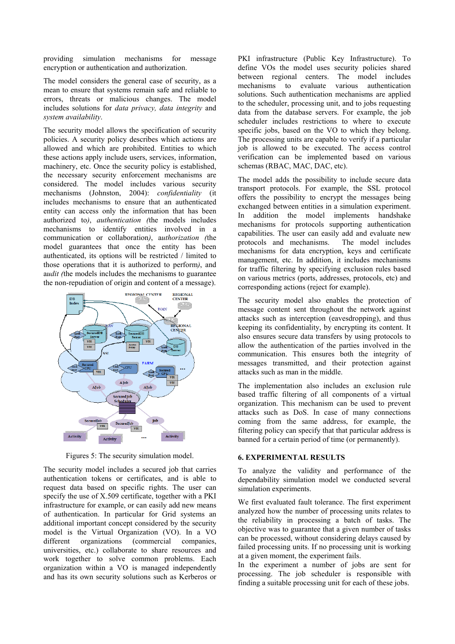providing simulation mechanisms for message encryption or authentication and authorization.

The model considers the general case of security, as a mean to ensure that systems remain safe and reliable to errors, threats or malicious changes. The model includes solutions for *data privacy, data integrity* and *system availability*.

The security model allows the specification of security policies. A security policy describes which actions are allowed and which are prohibited. Entities to which these actions apply include users, services, information, machinery, etc. Once the security policy is established, the necessary security enforcement mechanisms are considered. The model includes various security mechanisms (Johnston, 2004): *confidentiality* (it includes mechanisms to ensure that an authenticated entity can access only the information that has been authorized to*)*, *authentication (*the models includes mechanisms to identify entities involved in a communication or collaboration*)*, a*uthorization (*the model guarantees that once the entity has been authenticated, its options will be restricted / limited to those operations that it is authorized to perform*)*, and a*udit (*the models includes the mechanisms to guarantee the non-repudiation of origin and content of a message).



Figures 5: The security simulation model.

The security model includes a secured job that carries authentication tokens or certificates, and is able to request data based on specific rights. The user can specify the use of X.509 certificate, together with a PKI infrastructure for example, or can easily add new means of authentication. In particular for Grid systems an additional important concept considered by the security model is the Virtual Organization (VO). In a VO different organizations (commercial companies, universities, etc.) collaborate to share resources and work together to solve common problems. Each organization within a VO is managed independently and has its own security solutions such as Kerberos or PKI infrastructure (Public Key Infrastructure). To define VOs the model uses security policies shared between regional centers. The model includes mechanisms to evaluate various authentication solutions. Such authentication mechanisms are applied to the scheduler, processing unit, and to jobs requesting data from the database servers. For example, the job scheduler includes restrictions to where to execute specific jobs, based on the VO to which they belong. The processing units are capable to verify if a particular job is allowed to be executed. The access control verification can be implemented based on various schemas (RBAC, MAC, DAC, etc).

The model adds the possibility to include secure data transport protocols. For example, the SSL protocol offers the possibility to encrypt the messages being exchanged between entities in a simulation experiment. In addition the model implements handshake mechanisms for protocols supporting authentication capabilities. The user can easily add and evaluate new protocols and mechanisms. The model includes mechanisms for data encryption, keys and certificate management, etc. In addition, it includes mechanisms for traffic filtering by specifying exclusion rules based on various metrics (ports, addresses, protocols, etc) and corresponding actions (reject for example).

The security model also enables the protection of message content sent throughout the network against attacks such as interception (eavesdropping), and thus keeping its confidentiality, by encrypting its content. It also ensures secure data transfers by using protocols to allow the authentication of the parties involved in the communication. This ensures both the integrity of messages transmitted, and their protection against attacks such as man in the middle.

The implementation also includes an exclusion rule based traffic filtering of all components of a virtual organization. This mechanism can be used to prevent attacks such as DoS. In case of many connections coming from the same address, for example, the filtering policy can specify that that particular address is banned for a certain period of time (or permanently).

### **6. EXPERIMENTAL RESULTS**

To analyze the validity and performance of the dependability simulation model we conducted several simulation experiments.

We first evaluated fault tolerance. The first experiment analyzed how the number of processing units relates to the reliability in processing a batch of tasks. The objective was to guarantee that a given number of tasks can be processed, without considering delays caused by failed processing units. If no processing unit is working at a given moment, the experiment fails.

In the experiment a number of jobs are sent for processing. The job scheduler is responsible with finding a suitable processing unit for each of these jobs.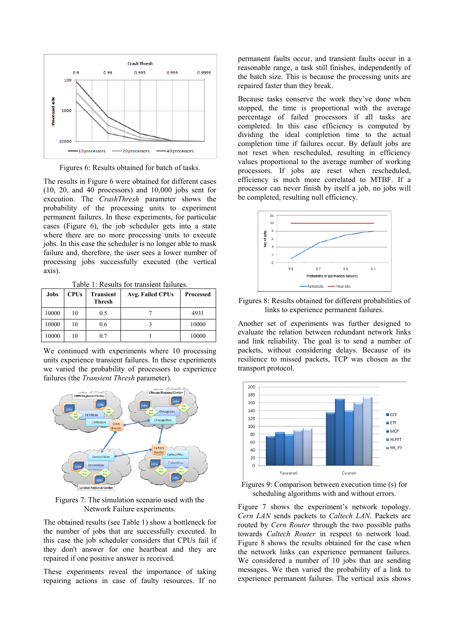

Figures 6: Results obtained for batch of tasks.

The results in Figure 6 were obtained for different cases (10, 20, and 40 processors) and 10,000 jobs sent for execution. The *CrashThresh* parameter shows the probability of the processing units to experiment permanent failures. In these experiments, for particular cases (Figure 6), the job scheduler gets into a state where there are no more processing units to execute jobs. In this case the scheduler is no longer able to mask failure and, therefore, the user sees a lower number of processing jobs successfully executed (the vertical axis).

Table 1: Results for transient failures.

| Jobs  | <b>CPUs</b> | <b>Transient</b><br>Thresh | Avg. Failed CPUs | <b>Processed</b> |
|-------|-------------|----------------------------|------------------|------------------|
| 10000 | 10          | 0.5                        |                  | 4931             |
| 10000 | 10          | 0.6                        |                  | 10000            |
| 10000 | 10          | 0.7                        |                  | 10000            |

We continued with experiments where 10 processing units experience transient failures. In these experiments we varied the probability of processors to experience failures (the *Transient Thresh* parameter).



Figures 7: The simulation scenario used with the Network Failure experiments.

The obtained results (see Table 1) show a bottleneck for the number of jobs that are successfully executed. In this case the job scheduler considers that CPUs fail if they don't answer for one heartbeat and they are repaired if one positive answer is received.

These experiments reveal the importance of taking repairing actions in case of faulty resources. If no

permanent faults occur, and transient faults occur in a reasonable range, a task still finishes, independently of the batch size. This is because the processing units are repaired faster than they break.

Because tasks conserve the work they've done when stopped, the time is proportional with the average percentage of failed processors if all tasks are completed. In this case efficiency is computed by dividing the ideal completion time to the actual completion time if failures occur. By default jobs are not reset when rescheduled, resulting in efficiency values proportional to the average number of working processors. If jobs are reset when rescheduled, efficiency is much more correlated to MTBF. If a processor can never finish by itself a job, no jobs will be completed, resulting null efficiency.



Figures 8: Results obtained for different probabilities of links to experience permanent failures.

Another set of experiments was further designed to evaluate the relation between redundant network links and link reliability. The goal is to send a number of packets, without considering delays. Because of its resilience to missed packets, TCP was chosen as the transport protocol.



Figures 9: Comparison between execution time (s) for scheduling algorithms with and without errors.

Figure 7 shows the experiment's network topology. *Cern LAN* sends packets to *Caltech LAN*. Packets are routed by *Cern Router* through the two possible paths towards *Caltech Router* in respect to network load. Figure 8 shows the results obtained for the case when the network links can experience permanent failures. We considered a number of 10 jobs that are sending messages. We then varied the probability of a link to experience permanent failures. The vertical axis shows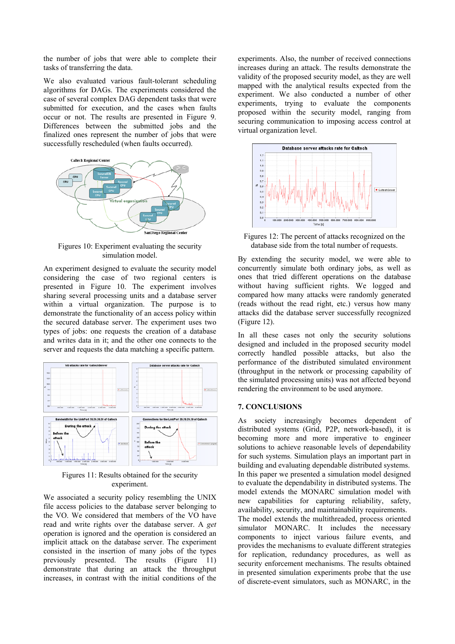the number of jobs that were able to complete their tasks of transferring the data.

We also evaluated various fault-tolerant scheduling algorithms for DAGs. The experiments considered the case of several complex DAG dependent tasks that were submitted for execution, and the cases when faults occur or not. The results are presented in Figure 9. Differences between the submitted jobs and the finalized ones represent the number of jobs that were successfully rescheduled (when faults occurred).



Figures 10: Experiment evaluating the security simulation model.

An experiment designed to evaluate the security model considering the case of two regional centers is presented in Figure 10. The experiment involves sharing several processing units and a database server within a virtual organization. The purpose is to demonstrate the functionality of an access policy within the secured database server. The experiment uses two types of jobs: one requests the creation of a database and writes data in it; and the other one connects to the server and requests the data matching a specific pattern.



Figures 11: Results obtained for the security experiment.

We associated a security policy resembling the UNIX file access policies to the database server belonging to the VO. We considered that members of the VO have read and write rights over the database server. A *get* operation is ignored and the operation is considered an implicit attack on the database server. The experiment consisted in the insertion of many jobs of the types previously presented. The results (Figure 11) demonstrate that during an attack the throughput increases, in contrast with the initial conditions of the

experiments. Also, the number of received connections increases during an attack. The results demonstrate the validity of the proposed security model, as they are well mapped with the analytical results expected from the experiment. We also conducted a number of other experiments, trying to evaluate the components proposed within the security model, ranging from securing communication to imposing access control at virtual organization level.



Figures 12: The percent of attacks recognized on the database side from the total number of requests.

By extending the security model, we were able to concurrently simulate both ordinary jobs, as well as ones that tried different operations on the database without having sufficient rights. We logged and compared how many attacks were randomly generated (reads without the read right, etc.) versus how many attacks did the database server successfully recognized (Figure 12).

In all these cases not only the security solutions designed and included in the proposed security model correctly handled possible attacks, but also the performance of the distributed simulated environment (throughput in the network or processing capability of the simulated processing units) was not affected beyond rendering the environment to be used anymore.

#### **7. CONCLUSIONS**

As society increasingly becomes dependent of distributed systems (Grid, P2P, network-based), it is becoming more and more imperative to engineer solutions to achieve reasonable levels of dependability for such systems. Simulation plays an important part in building and evaluating dependable distributed systems. In this paper we presented a simulation model designed to evaluate the dependability in distributed systems. The model extends the MONARC simulation model with new capabilities for capturing reliability, safety, availability, security, and maintainability requirements. The model extends the multithreaded, process oriented simulator MONARC. It includes the necessary components to inject various failure events, and provides the mechanisms to evaluate different strategies for replication, redundancy procedures, as well as security enforcement mechanisms. The results obtained in presented simulation experiments probe that the use of discrete-event simulators, such as MONARC, in the